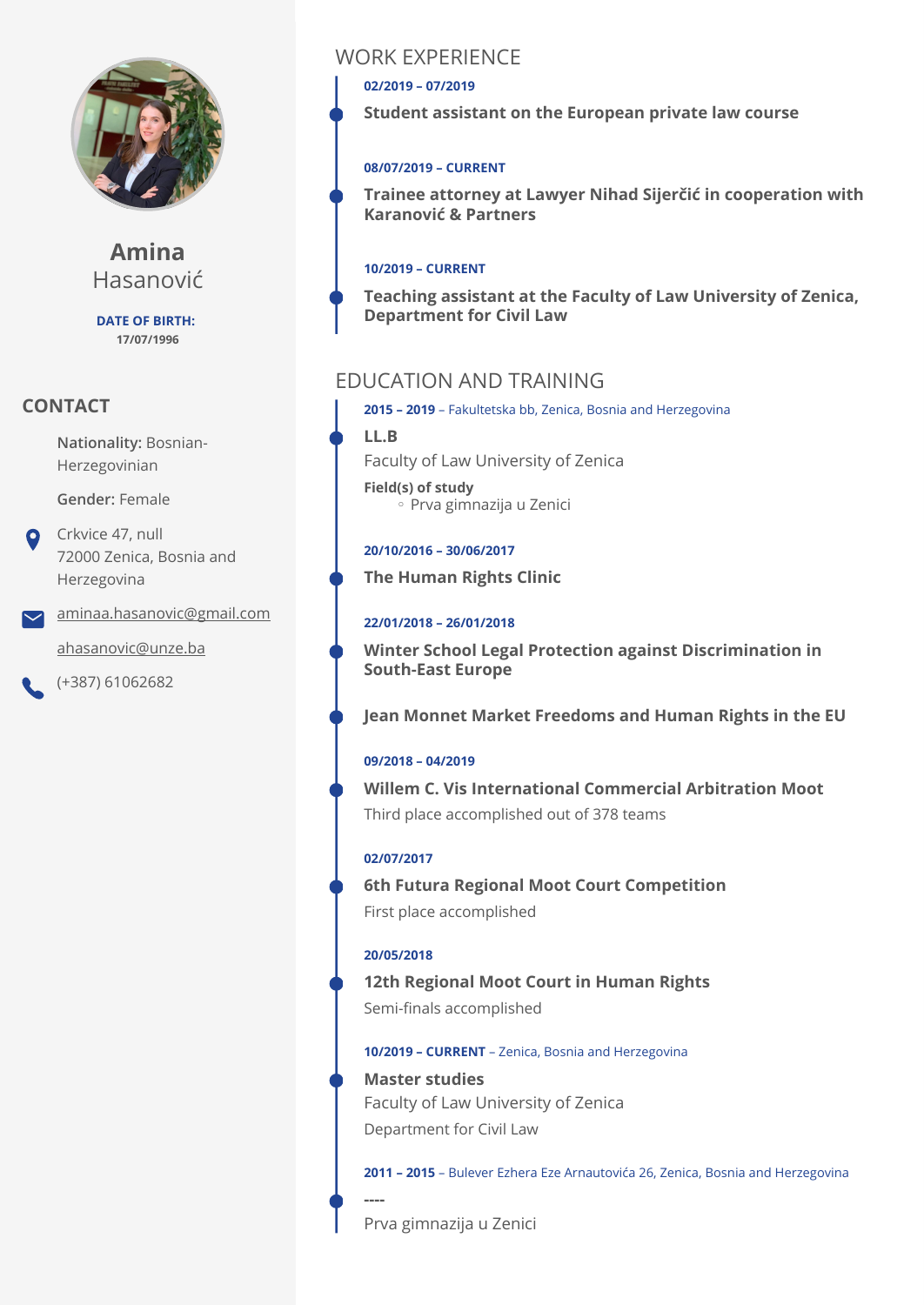

**Amina** Hasanović

**DATE OF BIRTH: 17/07/1996**

### **CONTACT**

**Nationality:** Bosnian-Herzegovinian

#### **Gender:** Female

Crkvice 47, null 72000 Zenica, Bosnia and Herzegovina

[aminaa.hasanovic@gmail.com](mailto:aminaa.hasanovic@gmail.com)

[ahasanovic@unze.ba](mailto:ahasanovic@unze.ba)

(+387) 61062682

# WORK EXPERIENCE

**02/2019 – 07/2019** 

**Student assistant on the European private law course** 

#### **08/07/2019 – CURRENT**

**Trainee attorney at Lawyer Nihad Sijerčić in cooperation with Karanović & Partners** 

### **10/2019 – CURRENT**

**Teaching assistant at the Faculty of Law University of Zenica, Department for Civil Law** 

# EDUCATION AND TRAINING

**2015 – 2019** – Fakultetska bb, Zenica, Bosnia and Herzegovina

**LL.B** 

Faculty of Law University of Zenica

**Field(s) of study** ◦ Prva gimnazija u Zenici

### **20/10/2016 – 30/06/2017**

**The Human Rights Clinic** 

### **22/01/2018 – 26/01/2018**

**Winter School Legal Protection against Discrimination in South-East Europe** 

**Jean Monnet Market Freedoms and Human Rights in the EU** 

### **09/2018 – 04/2019**

Third place accomplished out of 378 teams **Willem C. Vis International Commercial Arbitration Moot** 

### **02/07/2017**

First place accomplished **6th Futura Regional Moot Court Competition** 

### **20/05/2018**

**----** 

Semi-finals accomplished **12th Regional Moot Court in Human Rights** 

#### **10/2019 – CURRENT** – Zenica, Bosnia and Herzegovina

Department for Civil Law **Master studies**  Faculty of Law University of Zenica

**2011 – 2015** – Bulever Ezhera Eze Arnautovića 26, Zenica, Bosnia and Herzegovina

Prva gimnazija u Zenici